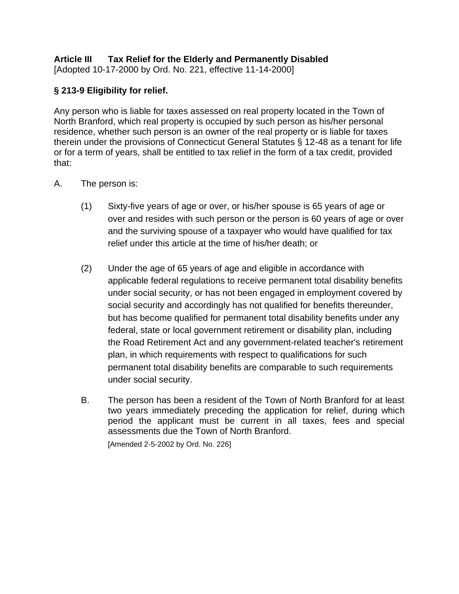# **Article III Tax Relief for the Elderly and Permanently Disabled**

[Adopted 10-17-2000 by Ord. No. 221, effective 11-14-2000]

### **§ 213-9 Eligibility for relief.**

Any person who is liable for taxes assessed on real property located in the Town of North Branford, which real property is occupied by such person as his/her personal residence, whether such person is an owner of the real property or is liable for taxes therein under the provisions of Connecticut General Statutes § 12-48 as a tenant for life or for a term of years, shall be entitled to tax relief in the form of a tax credit, provided that:

- [A.](https://www.ecode360.com/8839792#8839792) The person is:
	- [\(1\)](https://www.ecode360.com/8839793#8839793) Sixty-five years of age or over, or his/her spouse is 65 years of age or over and resides with such person or the person is 60 years of age or over and the surviving spouse of a taxpayer who would have qualified for tax relief under this article at the time of his/her death; or
	- [\(2\)](https://www.ecode360.com/8839794#8839794) Under the age of 65 years of age and eligible in accordance with applicable federal regulations to receive permanent total disability benefits under social security, or has not been engaged in employment covered by social security and accordingly has not qualified for benefits thereunder, but has become qualified for permanent total disability benefits under any federal, state or local government retirement or disability plan, including the Road Retirement Act and any government-related teacher's retirement plan, in which requirements with respect to qualifications for such permanent total disability benefits are comparable to such requirements under social security.
	- [B.](https://www.ecode360.com/8839795#8839795) The person has been a resident of the Town of North Branford for at least two years immediately preceding the application for relief, during which period the applicant must be current in all taxes, fees and special assessments due the Town of North Branford.

[Amended 2-5-2002 by Ord. No. 226]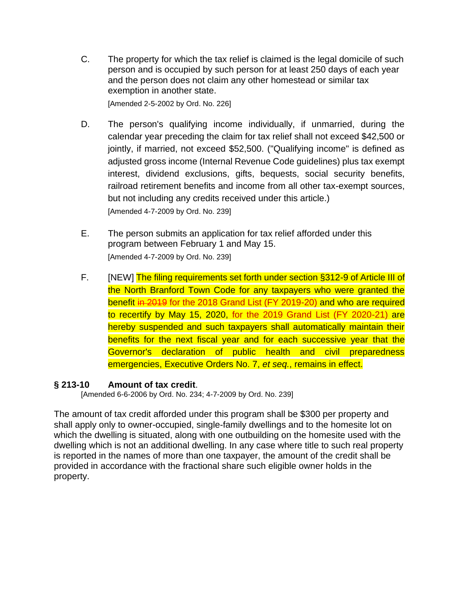[C.](https://www.ecode360.com/8839796#8839796) The property for which the tax relief is claimed is the legal domicile of such person and is occupied by such person for at least 250 days of each year and the person does not claim any other homestead or similar tax exemption in another state.

[Amended 2-5-2002 by Ord. No. 226]

- [D.](https://www.ecode360.com/8839797#8839797) The person's qualifying income individually, if unmarried, during the calendar year preceding the claim for tax relief shall not exceed \$42,500 or jointly, if married, not exceed \$52,500. ("Qualifying income" is defined as adjusted gross income (Internal Revenue Code guidelines) plus tax exempt interest, dividend exclusions, gifts, bequests, social security benefits, railroad retirement benefits and income from all other tax-exempt sources, but not including any credits received under this article.) [Amended 4-7-2009 by Ord. No. 239]
- [E.](https://www.ecode360.com/8839798#8839798) The person submits an application for tax relief afforded under this program between February 1 and May 15. [Amended 4-7-2009 by Ord. No. 239]
- F. [NEW] The filing requirements set forth under section §312-9 of Article III of the North Branford Town Code for any taxpayers who were granted the benefit in 2019 for the 2018 Grand List (FY 2019-20) and who are required to recertify by May 15, 2020, for the 2019 Grand List (FY 2020-21) are hereby suspended and such taxpayers shall automatically maintain their benefits for the next fiscal year and for each successive year that the Governor's declaration of public health and civil preparedness emergencies, Executive Orders No. 7, *et seq.*, remains in effect.

#### **§ 213-10 Amount of tax credit**.

[Amended 6-6-2006 by Ord. No. 234; 4-7-2009 by Ord. No. 239]

The amount of tax credit afforded under this program shall be \$300 per property and shall apply only to owner-occupied, single-family dwellings and to the homesite lot on which the dwelling is situated, along with one outbuilding on the homesite used with the dwelling which is not an additional dwelling. In any case where title to such real property is reported in the names of more than one taxpayer, the amount of the credit shall be provided in accordance with the fractional share such eligible owner holds in the property.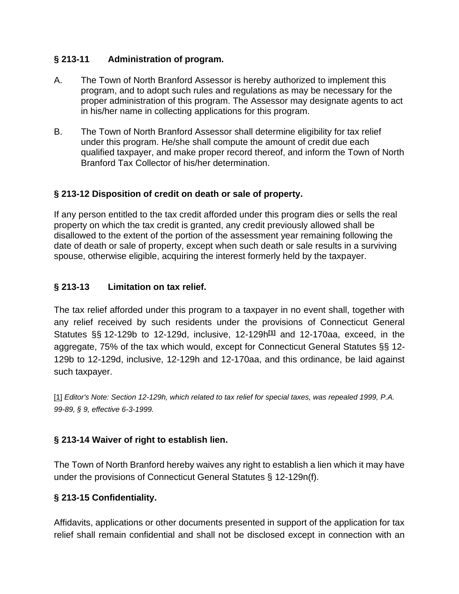## **§ 213-11 Administration of program.**

- A. The Town of North Branford Assessor is hereby authorized to implement this program, and to adopt such rules and regulations as may be necessary for the proper administration of this program. The Assessor may designate agents to act in his/her name in collecting applications for this program.
- B. The Town of North Branford Assessor shall determine eligibility for tax relief under this program. He/she shall compute the amount of credit due each qualified taxpayer, and make proper record thereof, and inform the Town of North Branford Tax Collector of his/her determination.

## **§ 213-12 Disposition of credit on death or sale of property.**

If any person entitled to the tax credit afforded under this program dies or sells the real property on which the tax credit is granted, any credit previously allowed shall be disallowed to the extent of the portion of the assessment year remaining following the date of death or sale of property, except when such death or sale results in a surviving spouse, otherwise eligible, acquiring the interest formerly held by the taxpayer.

## **§ [213-13 Limitation on tax relief.](https://www.ecode360.com/8839800#8839804)**

The tax relief afforded under this program to a taxpayer in no event shall, together with any relief received by such residents under the provisions of Connecticut General Statutes §§ 12-129b to 12-129d, inclusive, 12-129h**[\[1\]](https://www.ecode360.com/8839800#ft8839804-1)** and 12-170aa, exceed, in the aggregate, 75% of the tax which would, except for Connecticut General Statutes §§ 12- 129b to 12-129d, inclusive, 12-129h and 12-170aa, and this ordinance, be laid against such taxpayer.

[\[1\]](https://www.ecode360.com/8839800#ref8839804-1) *Editor's Note: Section 12-129h, which related to tax relief for special taxes, was repealed 1999, P.A. 99-89, § 9, effective 6-3-1999.*

# **§ [213-14 Waiver of right to establish lien.](https://www.ecode360.com/8839800#8839805)**

The Town of North Branford hereby waives any right to establish a lien which it may have under the provisions of Connecticut General Statutes § 12-129n(f).

### **§ [213-15 Confidentiality.](https://www.ecode360.com/8839800#8839806)**

Affidavits, applications or other documents presented in support of the application for tax relief shall remain confidential and shall not be disclosed except in connection with an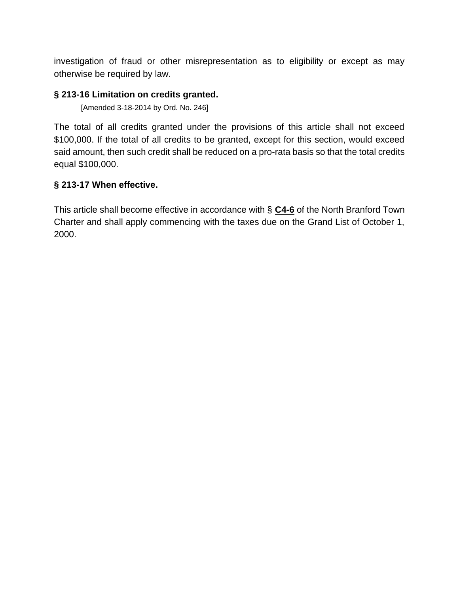investigation of fraud or other misrepresentation as to eligibility or except as may otherwise be required by law.

#### **§ [213-16 Limitation on credits granted.](https://www.ecode360.com/8839800#8839807)**

[Amended 3-18-2014 by Ord. No. 246]

The total of all credits granted under the provisions of this article shall not exceed \$100,000. If the total of all credits to be granted, except for this section, would exceed said amount, then such credit shall be reduced on a pro-rata basis so that the total credits equal \$100,000.

### **§ [213-17 When effective.](https://www.ecode360.com/8839800#8839808)**

This article shall become effective in accordance with § **[C4-6](https://www.ecode360.com/13308852#13308852)** of the North Branford Town Charter and shall apply commencing with the taxes due on the Grand List of October 1, 2000.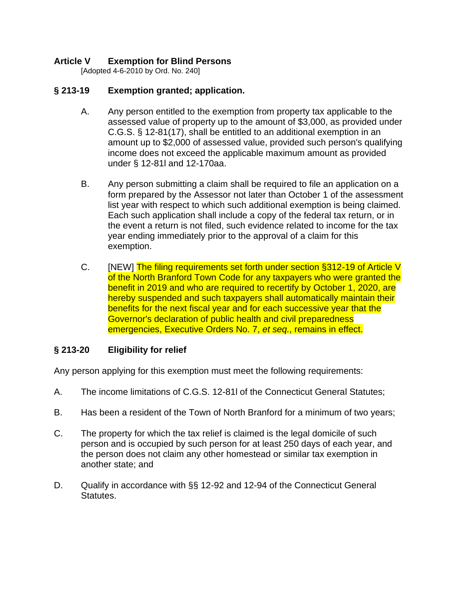### **Article V Exemption for Blind Persons**

[Adopted 4-6-2010 by Ord. No. 240]

#### **§ 213-19 Exemption granted; application.**

- A. Any person entitled to the exemption from property tax applicable to the assessed value of property up to the amount of \$3,000, as provided under C.G.S. § 12-81(17), shall be entitled to an additional exemption in an amount up to \$2,000 of assessed value, provided such person's qualifying income does not exceed the applicable maximum amount as provided under § 12-81l and 12-170aa.
- B. Any person submitting a claim shall be required to file an application on a form prepared by the Assessor not later than October 1 of the assessment list year with respect to which such additional exemption is being claimed. Each such application shall include a copy of the federal tax return, or in the event a return is not filed, such evidence related to income for the tax year ending immediately prior to the approval of a claim for this exemption.
- C. [NEW] The filing requirements set forth under section §312-19 of Article V of the North Branford Town Code for any taxpayers who were granted the benefit in 2019 and who are required to recertify by October 1, 2020, are hereby suspended and such taxpayers shall automatically maintain their benefits for the next fiscal year and for each successive year that the Governor's declaration of public health and civil preparedness emergencies, Executive Orders No. 7, *et seq.*, remains in effect.

### **§ 213-20 Eligibility for relief**

Any person applying for this exemption must meet the following requirements:

- A. The income limitations of C.G.S. 12-81l of the Connecticut General Statutes;
- B. Has been a resident of the Town of North Branford for a minimum of two years;
- C. The property for which the tax relief is claimed is the legal domicile of such person and is occupied by such person for at least 250 days of each year, and the person does not claim any other homestead or similar tax exemption in another state; and
- D. Qualify in accordance with §§ 12-92 and 12-94 of the Connecticut General Statutes.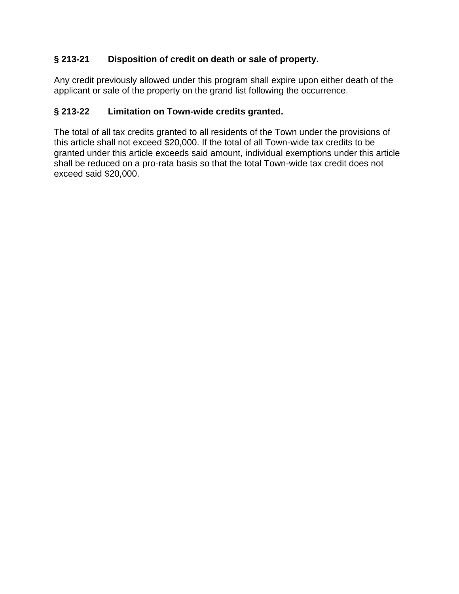# **§ 213-21 Disposition of credit on death or sale of property.**

Any credit previously allowed under this program shall expire upon either death of the applicant or sale of the property on the grand list following the occurrence.

### **§ 213-22 Limitation on Town-wide credits granted.**

The total of all tax credits granted to all residents of the Town under the provisions of this article shall not exceed \$20,000. If the total of all Town-wide tax credits to be granted under this article exceeds said amount, individual exemptions under this article shall be reduced on a pro-rata basis so that the total Town-wide tax credit does not exceed said \$20,000.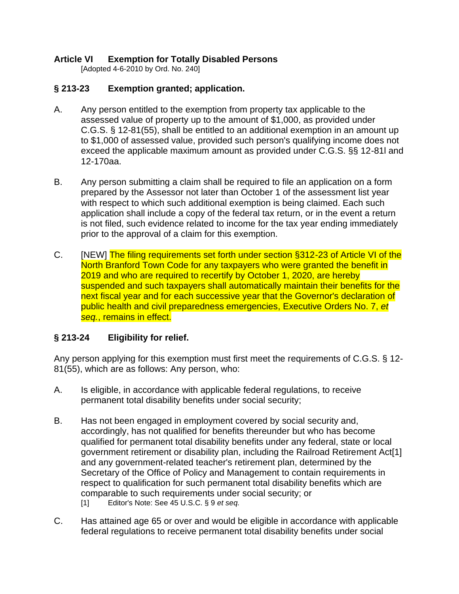## **Article VI Exemption for Totally Disabled Persons**

[Adopted 4-6-2010 by Ord. No. 240]

## **§ 213-23 Exemption granted; application.**

- A. Any person entitled to the exemption from property tax applicable to the assessed value of property up to the amount of \$1,000, as provided under C.G.S. § 12-81(55), shall be entitled to an additional exemption in an amount up to \$1,000 of assessed value, provided such person's qualifying income does not exceed the applicable maximum amount as provided under C.G.S. §§ 12-81l and 12-170aa.
- B. Any person submitting a claim shall be required to file an application on a form prepared by the Assessor not later than October 1 of the assessment list year with respect to which such additional exemption is being claimed. Each such application shall include a copy of the federal tax return, or in the event a return is not filed, such evidence related to income for the tax year ending immediately prior to the approval of a claim for this exemption.
- C. [NEW] The filing requirements set forth under section §312-23 of Article VI of the North Branford Town Code for any taxpayers who were granted the benefit in 2019 and who are required to recertify by October 1, 2020, are hereby suspended and such taxpayers shall automatically maintain their benefits for the next fiscal year and for each successive year that the Governor's declaration of public health and civil preparedness emergencies, Executive Orders No. 7, *et seq.*, remains in effect.

# **§ 213-24 Eligibility for relief.**

Any person applying for this exemption must first meet the requirements of C.G.S. § 12- 81(55), which are as follows: Any person, who:

- A. Is eligible, in accordance with applicable federal regulations, to receive permanent total disability benefits under social security;
- B. Has not been engaged in employment covered by social security and, accordingly, has not qualified for benefits thereunder but who has become qualified for permanent total disability benefits under any federal, state or local government retirement or disability plan, including the Railroad Retirement Act[1] and any government-related teacher's retirement plan, determined by the Secretary of the Office of Policy and Management to contain requirements in respect to qualification for such permanent total disability benefits which are comparable to such requirements under social security; or [1] Editor's Note: See 45 U.S.C. § 9 *et seq.*
- C. Has attained age 65 or over and would be eligible in accordance with applicable federal regulations to receive permanent total disability benefits under social